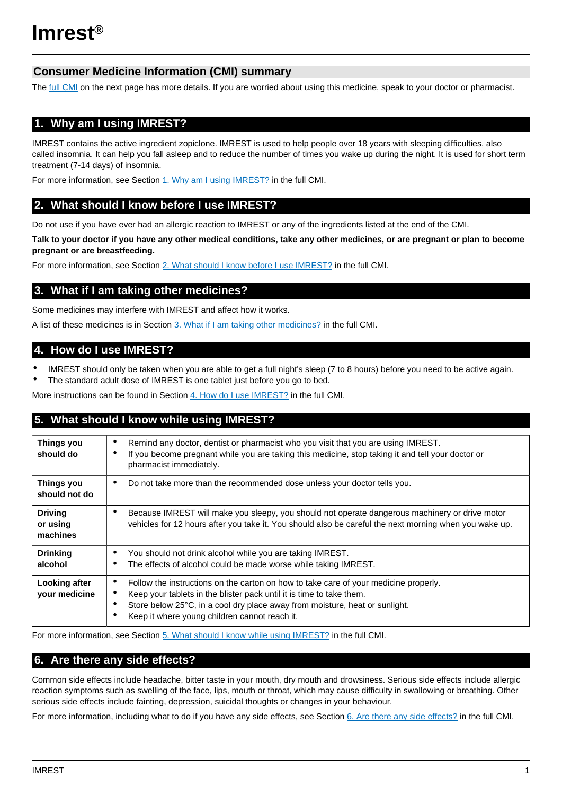# **Consumer Medicine Information (CMI) summary**

The [full CMI](#page-1-0) on the next page has more details. If you are worried about using this medicine, speak to your doctor or pharmacist.

# **1. Why am I using IMREST?**

IMREST contains the active ingredient zopiclone. IMREST is used to help people over 18 years with sleeping difficulties, also called insomnia. It can help you fall asleep and to reduce the number of times you wake up during the night. It is used for short term treatment (7-14 days) of insomnia.

For more information, see Section [1. Why am I using IMREST?](#page-1-1) in the full CMI.

# **2. What should I know before I use IMREST?**

Do not use if you have ever had an allergic reaction to IMREST or any of the ingredients listed at the end of the CMI.

**Talk to your doctor if you have any other medical conditions, take any other medicines, or are pregnant or plan to become pregnant or are breastfeeding.**

For more information, see Section [2. What should I know before I use IMREST?](#page-1-2) in the full CMI.

# **3. What if I am taking other medicines?**

Some medicines may interfere with IMREST and affect how it works.

A list of these medicines is in Section [3. What if I am taking other medicines?](#page-2-0) in the full CMI.

# **4. How do I use IMREST?**

- IMREST should only be taken when you are able to get a full night's sleep (7 to 8 hours) before you need to be active again.
- The standard adult dose of IMREST is one tablet just before you go to bed.

More instructions can be found in Section [4. How do I use IMREST?](#page-2-1) in the full CMI.

# **5. What should I know while using IMREST?**

| Things you<br>should do                | Remind any doctor, dentist or pharmacist who you visit that you are using IMREST.<br>If you become pregnant while you are taking this medicine, stop taking it and tell your doctor or<br>٠<br>pharmacist immediately.                                                                                 |
|----------------------------------------|--------------------------------------------------------------------------------------------------------------------------------------------------------------------------------------------------------------------------------------------------------------------------------------------------------|
| Things you<br>should not do            | Do not take more than the recommended dose unless your doctor tells you.<br>٠                                                                                                                                                                                                                          |
| <b>Driving</b><br>or using<br>machines | Because IMREST will make you sleepy, you should not operate dangerous machinery or drive motor<br>٠<br>vehicles for 12 hours after you take it. You should also be careful the next morning when you wake up.                                                                                          |
| <b>Drinking</b><br>alcohol             | You should not drink alcohol while you are taking IMREST.<br>٠<br>The effects of alcohol could be made worse while taking IMREST.                                                                                                                                                                      |
| Looking after<br>your medicine         | Follow the instructions on the carton on how to take care of your medicine properly.<br>Keep your tablets in the blister pack until it is time to take them.<br>٠<br>Store below 25°C, in a cool dry place away from moisture, heat or sunlight.<br>٠<br>Keep it where young children cannot reach it. |

For more information, see Section [5. What should I know while using IMREST?](#page-2-2) in the full CMI.

# **6. Are there any side effects?**

Common side effects include headache, bitter taste in your mouth, dry mouth and drowsiness. Serious side effects include allergic reaction symptoms such as swelling of the face, lips, mouth or throat, which may cause difficulty in swallowing or breathing. Other serious side effects include fainting, depression, suicidal thoughts or changes in your behaviour.

For more information, including what to do if you have any side effects, see Section [6. Are there any side effects?](#page-3-0) in the full CMI.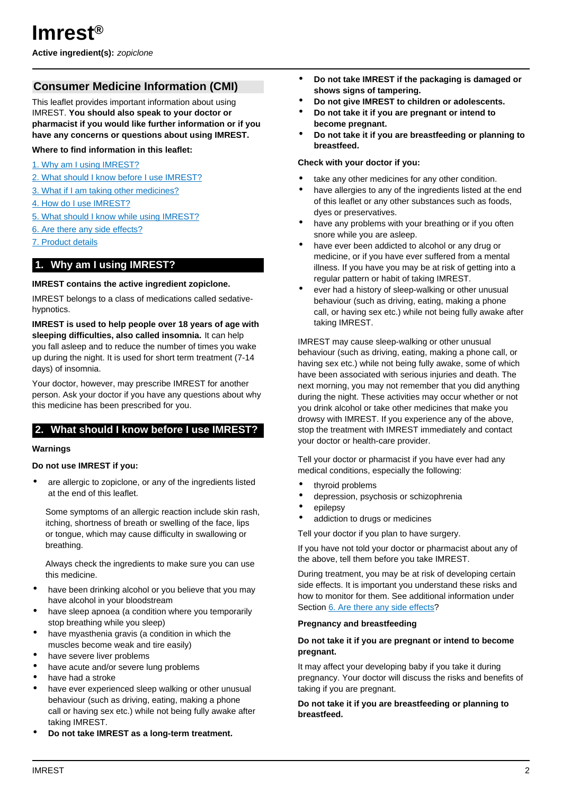<span id="page-1-0"></span>**Active ingredient(s):** zopiclone

# **Consumer Medicine Information (CMI)**

This leaflet provides important information about using IMREST. **You should also speak to your doctor or pharmacist if you would like further information or if you have any concerns or questions about using IMREST.**

### **Where to find information in this leaflet:**

- [1. Why am I using IMREST?](#page-1-1)
- [2. What should I know before I use IMREST?](#page-1-2)
- [3. What if I am taking other medicines?](#page-2-0)
- [4. How do I use IMREST?](#page-2-1)
- [5. What should I know while using IMREST?](#page-2-2)
- [6. Are there any side effects?](#page-3-0)
- [7. Product details](#page-4-0)

## <span id="page-1-1"></span>**1. Why am I using IMREST?**

#### **IMREST contains the active ingredient zopiclone.**

IMREST belongs to a class of medications called sedativehypnotics.

**IMREST is used to help people over 18 years of age with sleeping difficulties, also called insomnia.** It can help you fall asleep and to reduce the number of times you wake up during the night. It is used for short term treatment (7-14 days) of insomnia.

Your doctor, however, may prescribe IMREST for another person. Ask your doctor if you have any questions about why this medicine has been prescribed for you.

## <span id="page-1-2"></span>**2. What should I know before I use IMREST?**

#### **Warnings**

#### **Do not use IMREST if you:**

are allergic to zopiclone, or any of the ingredients listed at the end of this leaflet.

Some symptoms of an allergic reaction include skin rash, itching, shortness of breath or swelling of the face, lips or tongue, which may cause difficulty in swallowing or breathing.

Always check the ingredients to make sure you can use this medicine.

- have been drinking alcohol or you believe that you may have alcohol in your bloodstream
- have sleep apnoea (a condition where you temporarily stop breathing while you sleep)
- have myasthenia gravis (a condition in which the muscles become weak and tire easily)
- have severe liver problems
- have acute and/or severe lung problems
- have had a stroke
- have ever experienced sleep walking or other unusual behaviour (such as driving, eating, making a phone call or having sex etc.) while not being fully awake after taking IMREST.
- **Do not take IMREST as a long-term treatment.**
- **Do not take IMREST if the packaging is damaged or shows signs of tampering.**
- **Do not give IMREST to children or adolescents.**
- **Do not take it if you are pregnant or intend to become pregnant.**
- **Do not take it if you are breastfeeding or planning to breastfeed.**

#### **Check with your doctor if you:**

- take any other medicines for any other condition.
- have allergies to any of the ingredients listed at the end of this leaflet or any other substances such as foods, dyes or preservatives.
- have any problems with your breathing or if you often snore while you are asleep.
- have ever been addicted to alcohol or any drug or medicine, or if you have ever suffered from a mental illness. If you have you may be at risk of getting into a regular pattern or habit of taking IMREST.
- ever had a history of sleep-walking or other unusual behaviour (such as driving, eating, making a phone call, or having sex etc.) while not being fully awake after taking IMREST.

IMREST may cause sleep-walking or other unusual behaviour (such as driving, eating, making a phone call, or having sex etc.) while not being fully awake, some of which have been associated with serious injuries and death. The next morning, you may not remember that you did anything during the night. These activities may occur whether or not you drink alcohol or take other medicines that make you drowsy with IMREST. If you experience any of the above, stop the treatment with IMREST immediately and contact your doctor or health-care provider.

Tell your doctor or pharmacist if you have ever had any medical conditions, especially the following:

- thyroid problems
- depression, psychosis or schizophrenia
- epilepsy
- addiction to drugs or medicines

Tell your doctor if you plan to have surgery.

If you have not told your doctor or pharmacist about any of the above, tell them before you take IMREST.

During treatment, you may be at risk of developing certain side effects. It is important you understand these risks and how to monitor for them. See additional information under Section [6. Are there any side effects](#page-3-0)?

### **Pregnancy and breastfeeding**

### **Do not take it if you are pregnant or intend to become pregnant.**

It may affect your developing baby if you take it during pregnancy. Your doctor will discuss the risks and benefits of taking if you are pregnant.

### **Do not take it if you are breastfeeding or planning to breastfeed.**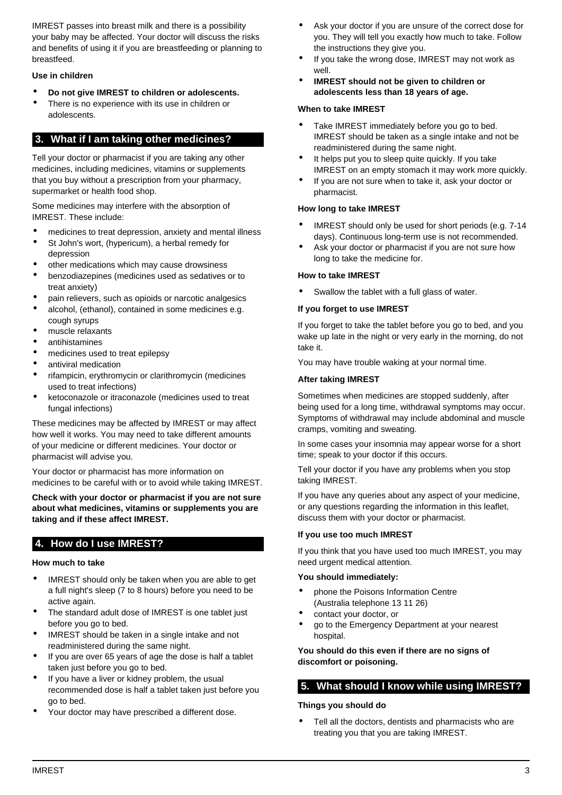IMREST passes into breast milk and there is a possibility your baby may be affected. Your doctor will discuss the risks and benefits of using it if you are breastfeeding or planning to breastfeed.

### **Use in children**

- **Do not give IMREST to children or adolescents.**
- There is no experience with its use in children or adolescents.

## <span id="page-2-0"></span>**3. What if I am taking other medicines?**

Tell your doctor or pharmacist if you are taking any other medicines, including medicines, vitamins or supplements that you buy without a prescription from your pharmacy, supermarket or health food shop.

Some medicines may interfere with the absorption of IMREST. These include:

- medicines to treat depression, anxiety and mental illness
- St John's wort, (hypericum), a herbal remedy for depression
- other medications which may cause drowsiness
- benzodiazepines (medicines used as sedatives or to treat anxiety)
- pain relievers, such as opioids or narcotic analgesics
- alcohol, (ethanol), contained in some medicines e.g. cough syrups
- muscle relaxants
- antihistamines
- medicines used to treat epilepsy
- antiviral medication
- rifampicin, erythromycin or clarithromycin (medicines used to treat infections)
- ketoconazole or itraconazole (medicines used to treat fungal infections)

These medicines may be affected by IMREST or may affect how well it works. You may need to take different amounts of your medicine or different medicines. Your doctor or pharmacist will advise you.

Your doctor or pharmacist has more information on medicines to be careful with or to avoid while taking IMREST.

**Check with your doctor or pharmacist if you are not sure about what medicines, vitamins or supplements you are taking and if these affect IMREST.**

# <span id="page-2-1"></span>**4. How do I use IMREST?**

#### **How much to take**

- IMREST should only be taken when you are able to get a full night's sleep (7 to 8 hours) before you need to be active again.
- The standard adult dose of IMREST is one tablet just before you go to bed.
- IMREST should be taken in a single intake and not readministered during the same night.
- If you are over 65 years of age the dose is half a tablet taken just before you go to bed.
- If you have a liver or kidney problem, the usual recommended dose is half a tablet taken just before you go to bed.
- Your doctor may have prescribed a different dose.
- Ask your doctor if you are unsure of the correct dose for you. They will tell you exactly how much to take. Follow the instructions they give you.
- If you take the wrong dose, IMREST may not work as well.
- **IMREST should not be given to children or adolescents less than 18 years of age.**

#### **When to take IMREST**

- Take IMREST immediately before you go to bed. IMREST should be taken as a single intake and not be readministered during the same night.
- It helps put you to sleep quite quickly. If you take IMREST on an empty stomach it may work more quickly.
- If you are not sure when to take it, ask your doctor or pharmacist.

#### **How long to take IMREST**

- IMREST should only be used for short periods (e.g. 7-14) days). Continuous long-term use is not recommended.
- Ask your doctor or pharmacist if you are not sure how long to take the medicine for.

#### **How to take IMREST**

Swallow the tablet with a full glass of water.

#### **If you forget to use IMREST**

If you forget to take the tablet before you go to bed, and you wake up late in the night or very early in the morning, do not take it.

You may have trouble waking at your normal time.

#### **After taking IMREST**

Sometimes when medicines are stopped suddenly, after being used for a long time, withdrawal symptoms may occur. Symptoms of withdrawal may include abdominal and muscle cramps, vomiting and sweating.

In some cases your insomnia may appear worse for a short time; speak to your doctor if this occurs.

Tell your doctor if you have any problems when you stop taking IMREST.

If you have any queries about any aspect of your medicine, or any questions regarding the information in this leaflet, discuss them with your doctor or pharmacist.

#### **If you use too much IMREST**

If you think that you have used too much IMREST, you may need urgent medical attention.

#### **You should immediately:**

- phone the Poisons Information Centre (Australia telephone 13 11 26)
- contact your doctor, or
- go to the Emergency Department at your nearest hospital.

**You should do this even if there are no signs of discomfort or poisoning.**

## <span id="page-2-2"></span>**5. What should I know while using IMREST?**

#### **Things you should do**

Tell all the doctors, dentists and pharmacists who are treating you that you are taking IMREST.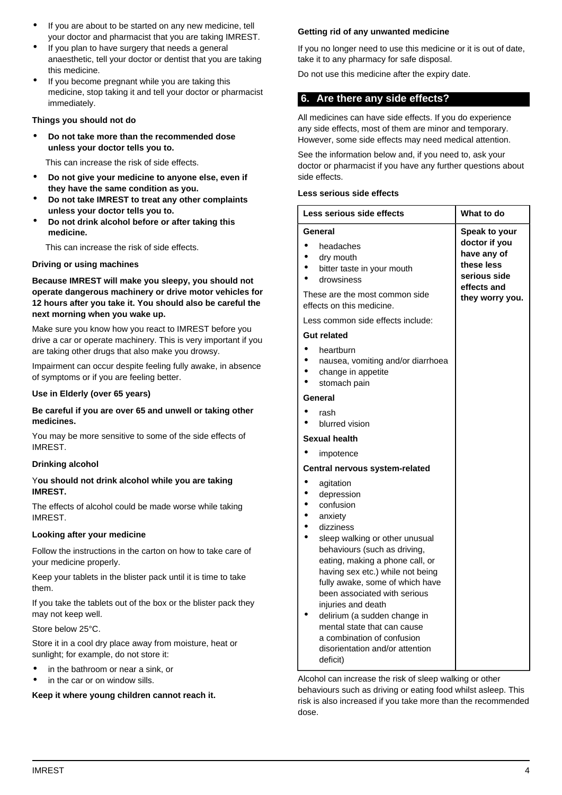- If you are about to be started on any new medicine, tell your doctor and pharmacist that you are taking IMREST.
- If you plan to have surgery that needs a general anaesthetic, tell your doctor or dentist that you are taking this medicine.
- If you become pregnant while you are taking this medicine, stop taking it and tell your doctor or pharmacist immediately.

# **Things you should not do**

- **Do not take more than the recommended dose unless your doctor tells you to.**
	- This can increase the risk of side effects.
- **Do not give your medicine to anyone else, even if they have the same condition as you.**
- **Do not take IMREST to treat any other complaints unless your doctor tells you to.**
- **Do not drink alcohol before or after taking this medicine.**

This can increase the risk of side effects.

#### **Driving or using machines**

**Because IMREST will make you sleepy, you should not operate dangerous machinery or drive motor vehicles for 12 hours after you take it. You should also be careful the next morning when you wake up.**

Make sure you know how you react to IMREST before you drive a car or operate machinery. This is very important if you are taking other drugs that also make you drowsy.

Impairment can occur despite feeling fully awake, in absence of symptoms or if you are feeling better.

#### **Use in Elderly (over 65 years)**

#### **Be careful if you are over 65 and unwell or taking other medicines.**

You may be more sensitive to some of the side effects of IMREST.

#### **Drinking alcohol**

### Y**ou should not drink alcohol while you are taking IMREST.**

The effects of alcohol could be made worse while taking IMREST.

#### **Looking after your medicine**

Follow the instructions in the carton on how to take care of your medicine properly.

Keep your tablets in the blister pack until it is time to take them.

If you take the tablets out of the box or the blister pack they may not keep well.

Store below 25°C.

Store it in a cool dry place away from moisture, heat or sunlight; for example, do not store it:

- in the bathroom or near a sink, or
- in the car or on window sills.

#### **Keep it where young children cannot reach it.**

#### **Getting rid of any unwanted medicine**

If you no longer need to use this medicine or it is out of date, take it to any pharmacy for safe disposal.

Do not use this medicine after the expiry date.

## <span id="page-3-0"></span>**6. Are there any side effects?**

All medicines can have side effects. If you do experience any side effects, most of them are minor and temporary. However, some side effects may need medical attention.

See the information below and, if you need to, ask your doctor or pharmacist if you have any further questions about side effects.

#### **Less serious side effects**

| Less serious side effects                                                                                                                                                                                                                                                                                                                                                                                                                  | What to do                                                                                                    |
|--------------------------------------------------------------------------------------------------------------------------------------------------------------------------------------------------------------------------------------------------------------------------------------------------------------------------------------------------------------------------------------------------------------------------------------------|---------------------------------------------------------------------------------------------------------------|
| General<br>headaches<br>dry mouth<br>bitter taste in your mouth<br>drowsiness<br>These are the most common side<br>effects on this medicine.                                                                                                                                                                                                                                                                                               | Speak to your<br>doctor if you<br>have any of<br>these less<br>serious side<br>effects and<br>they worry you. |
| Less common side effects include:                                                                                                                                                                                                                                                                                                                                                                                                          |                                                                                                               |
| <b>Gut related</b>                                                                                                                                                                                                                                                                                                                                                                                                                         |                                                                                                               |
| heartburn<br>nausea, vomiting and/or diarrhoea<br>change in appetite<br>stomach pain                                                                                                                                                                                                                                                                                                                                                       |                                                                                                               |
| General                                                                                                                                                                                                                                                                                                                                                                                                                                    |                                                                                                               |
| rash<br>blurred vision                                                                                                                                                                                                                                                                                                                                                                                                                     |                                                                                                               |
| Sexual health                                                                                                                                                                                                                                                                                                                                                                                                                              |                                                                                                               |
| impotence                                                                                                                                                                                                                                                                                                                                                                                                                                  |                                                                                                               |
| Central nervous system-related                                                                                                                                                                                                                                                                                                                                                                                                             |                                                                                                               |
| agitation<br>depression<br>confusion<br>anxiety<br>dizziness<br>sleep walking or other unusual<br>behaviours (such as driving,<br>eating, making a phone call, or<br>having sex etc.) while not being<br>fully awake, some of which have<br>been associated with serious<br>injuries and death<br>delirium (a sudden change in<br>mental state that can cause<br>a combination of confusion<br>disorientation and/or attention<br>deficit) |                                                                                                               |

Alcohol can increase the risk of sleep walking or other behaviours such as driving or eating food whilst asleep. This risk is also increased if you take more than the recommended dose.